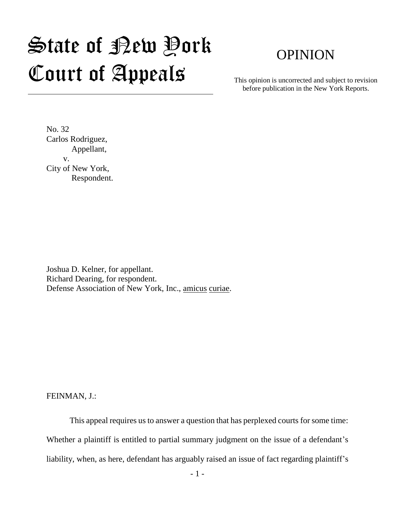## State of Rew Pork Court of Appeals

## OPINION

This opinion is uncorrected and subject to revision before publication in the New York Reports.

No. 32 Carlos Rodriguez, Appellant, v. City of New York, Respondent.

Joshua D. Kelner, for appellant. Richard Dearing, for respondent. Defense Association of New York, Inc., amicus curiae.

FEINMAN, J.:

This appeal requires us to answer a question that has perplexed courts for some time: Whether a plaintiff is entitled to partial summary judgment on the issue of a defendant's liability, when, as here, defendant has arguably raised an issue of fact regarding plaintiff's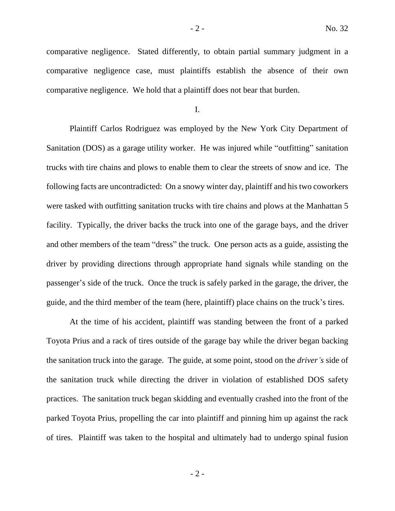comparative negligence. Stated differently, to obtain partial summary judgment in a comparative negligence case, must plaintiffs establish the absence of their own comparative negligence. We hold that a plaintiff does not bear that burden.

I.

Plaintiff Carlos Rodriguez was employed by the New York City Department of Sanitation (DOS) as a garage utility worker. He was injured while "outfitting" sanitation trucks with tire chains and plows to enable them to clear the streets of snow and ice. The following facts are uncontradicted: On a snowy winter day, plaintiff and his two coworkers were tasked with outfitting sanitation trucks with tire chains and plows at the Manhattan 5 facility. Typically, the driver backs the truck into one of the garage bays, and the driver and other members of the team "dress" the truck. One person acts as a guide, assisting the driver by providing directions through appropriate hand signals while standing on the passenger's side of the truck. Once the truck is safely parked in the garage, the driver, the guide, and the third member of the team (here, plaintiff) place chains on the truck's tires.

At the time of his accident, plaintiff was standing between the front of a parked Toyota Prius and a rack of tires outside of the garage bay while the driver began backing the sanitation truck into the garage. The guide, at some point, stood on the *driver's* side of the sanitation truck while directing the driver in violation of established DOS safety practices. The sanitation truck began skidding and eventually crashed into the front of the parked Toyota Prius, propelling the car into plaintiff and pinning him up against the rack of tires. Plaintiff was taken to the hospital and ultimately had to undergo spinal fusion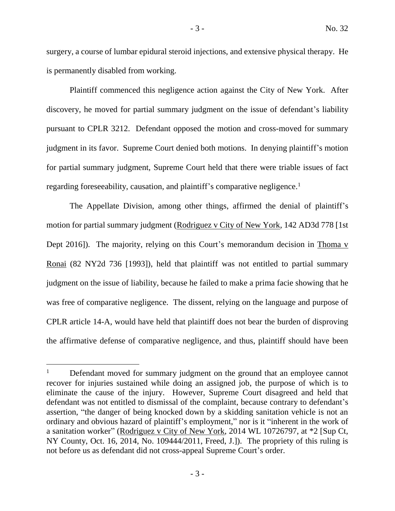surgery, a course of lumbar epidural steroid injections, and extensive physical therapy. He is permanently disabled from working.

Plaintiff commenced this negligence action against the City of New York. After discovery, he moved for partial summary judgment on the issue of defendant's liability pursuant to CPLR 3212. Defendant opposed the motion and cross-moved for summary judgment in its favor. Supreme Court denied both motions. In denying plaintiff's motion for partial summary judgment, Supreme Court held that there were triable issues of fact regarding foreseeability, causation, and plaintiff's comparative negligence.<sup>1</sup>

The Appellate Division, among other things, affirmed the denial of plaintiff's motion for partial summary judgment (Rodriguez v City of New York, 142 AD3d 778 [1st Dept 2016]). The majority, relying on this Court's memorandum decision in Thoma v Ronai (82 NY2d 736 [1993]), held that plaintiff was not entitled to partial summary judgment on the issue of liability, because he failed to make a prima facie showing that he was free of comparative negligence. The dissent, relying on the language and purpose of CPLR article 14-A, would have held that plaintiff does not bear the burden of disproving the affirmative defense of comparative negligence, and thus, plaintiff should have been

 $1$  Defendant moved for summary judgment on the ground that an employee cannot recover for injuries sustained while doing an assigned job, the purpose of which is to eliminate the cause of the injury. However, Supreme Court disagreed and held that defendant was not entitled to dismissal of the complaint, because contrary to defendant's assertion, "the danger of being knocked down by a skidding sanitation vehicle is not an ordinary and obvious hazard of plaintiff's employment," nor is it "inherent in the work of a sanitation worker" (Rodriguez v City of New York, 2014 WL 10726797, at \*2 [Sup Ct, NY County, Oct. 16, 2014, No. 109444/2011, Freed, J.]). The propriety of this ruling is not before us as defendant did not cross-appeal Supreme Court's order.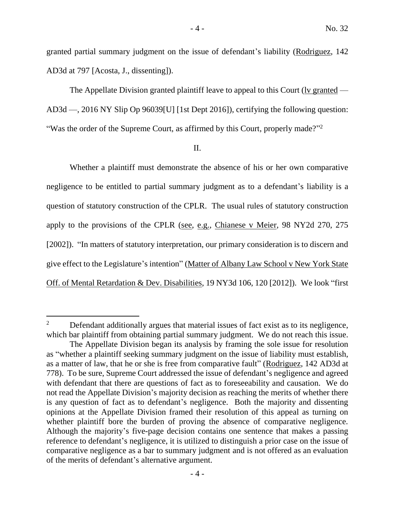granted partial summary judgment on the issue of defendant's liability (Rodriguez, 142 AD3d at 797 [Acosta, J., dissenting]).

The Appellate Division granted plaintiff leave to appeal to this Court (lv granted — AD3d —, 2016 NY Slip Op 96039[U] [1st Dept 2016]), certifying the following question: "Was the order of the Supreme Court, as affirmed by this Court, properly made?"<sup>2</sup>

## II.

Whether a plaintiff must demonstrate the absence of his or her own comparative negligence to be entitled to partial summary judgment as to a defendant's liability is a question of statutory construction of the CPLR. The usual rules of statutory construction apply to the provisions of the CPLR (see, e.g., Chianese v Meier, 98 NY2d 270, 275 [2002]). "In matters of statutory interpretation, our primary consideration is to discern and give effect to the Legislature's intention" (Matter of Albany Law School v New York State Off. of Mental Retardation & Dev. Disabilities, 19 NY3d 106, 120 [2012]). We look "first

<sup>&</sup>lt;sup>2</sup> Defendant additionally argues that material issues of fact exist as to its negligence, which bar plaintiff from obtaining partial summary judgment. We do not reach this issue.

The Appellate Division began its analysis by framing the sole issue for resolution as "whether a plaintiff seeking summary judgment on the issue of liability must establish, as a matter of law, that he or she is free from comparative fault" (Rodriguez, 142 AD3d at 778). To be sure, Supreme Court addressed the issue of defendant's negligence and agreed with defendant that there are questions of fact as to foreseeability and causation. We do not read the Appellate Division's majority decision as reaching the merits of whether there is any question of fact as to defendant's negligence. Both the majority and dissenting opinions at the Appellate Division framed their resolution of this appeal as turning on whether plaintiff bore the burden of proving the absence of comparative negligence. Although the majority's five-page decision contains one sentence that makes a passing reference to defendant's negligence, it is utilized to distinguish a prior case on the issue of comparative negligence as a bar to summary judgment and is not offered as an evaluation of the merits of defendant's alternative argument.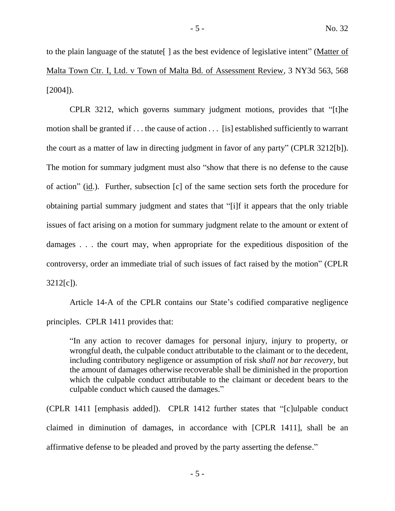to the plain language of the statute[ ] as the best evidence of legislative intent" (Matter of Malta Town Ctr. I, Ltd. v Town of Malta Bd. of Assessment Review, 3 NY3d 563, 568 [2004]).

CPLR 3212, which governs summary judgment motions, provides that "[t]he motion shall be granted if . . . the cause of action . . . [is] established sufficiently to warrant the court as a matter of law in directing judgment in favor of any party" (CPLR 3212[b]). The motion for summary judgment must also "show that there is no defense to the cause of action" (id.). Further, subsection [c] of the same section sets forth the procedure for obtaining partial summary judgment and states that "[i]f it appears that the only triable issues of fact arising on a motion for summary judgment relate to the amount or extent of damages . . . the court may, when appropriate for the expeditious disposition of the controversy, order an immediate trial of such issues of fact raised by the motion" (CPLR 3212[c]).

Article 14-A of the CPLR contains our State's codified comparative negligence principles. CPLR 1411 provides that:

"In any action to recover damages for personal injury, injury to property, or wrongful death, the culpable conduct attributable to the claimant or to the decedent, including contributory negligence or assumption of risk *shall not bar recovery*, but the amount of damages otherwise recoverable shall be diminished in the proportion which the culpable conduct attributable to the claimant or decedent bears to the culpable conduct which caused the damages."

(CPLR 1411 [emphasis added]). CPLR 1412 further states that "[c]ulpable conduct claimed in diminution of damages, in accordance with [CPLR 1411], shall be an affirmative defense to be pleaded and proved by the party asserting the defense."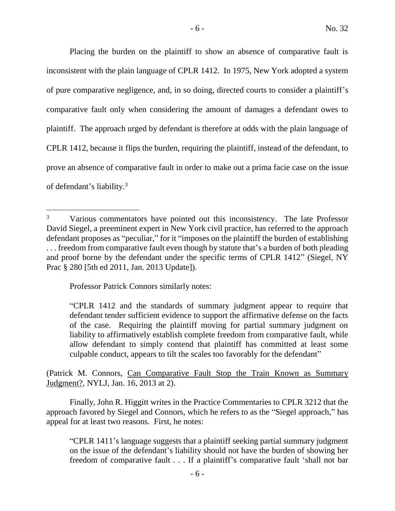Placing the burden on the plaintiff to show an absence of comparative fault is inconsistent with the plain language of CPLR 1412. In 1975, New York adopted a system of pure comparative negligence, and, in so doing, directed courts to consider a plaintiff's comparative fault only when considering the amount of damages a defendant owes to plaintiff. The approach urged by defendant is therefore at odds with the plain language of CPLR 1412, because it flips the burden, requiring the plaintiff, instead of the defendant, to prove an absence of comparative fault in order to make out a prima facie case on the issue of defendant's liability. 3

Professor Patrick Connors similarly notes:

(Patrick M. Connors, Can Comparative Fault Stop the Train Known as Summary Judgment?, NYLJ, Jan. 16, 2013 at 2).

Finally, John R. Higgitt writes in the Practice Commentaries to CPLR 3212 that the approach favored by Siegel and Connors, which he refers to as the "Siegel approach," has appeal for at least two reasons. First, he notes:

- 6 -

"CPLR 1411's language suggests that a plaintiff seeking partial summary judgment on the issue of the defendant's liability should not have the burden of showing her freedom of comparative fault . . . If a plaintiff's comparative fault 'shall not bar

<sup>&</sup>lt;sup>3</sup> Various commentators have pointed out this inconsistency. The late Professor David Siegel, a preeminent expert in New York civil practice, has referred to the approach defendant proposes as "peculiar," for it "imposes on the plaintiff the burden of establishing ... freedom from comparative fault even though by statute that's a burden of both pleading and proof borne by the defendant under the specific terms of CPLR 1412" (Siegel, NY Prac § 280 [5th ed 2011, Jan. 2013 Update]).

<sup>&</sup>quot;CPLR 1412 and the standards of summary judgment appear to require that defendant tender sufficient evidence to support the affirmative defense on the facts of the case. Requiring the plaintiff moving for partial summary judgment on liability to affirmatively establish complete freedom from comparative fault, while allow defendant to simply contend that plaintiff has committed at least some culpable conduct, appears to tilt the scales too favorably for the defendant"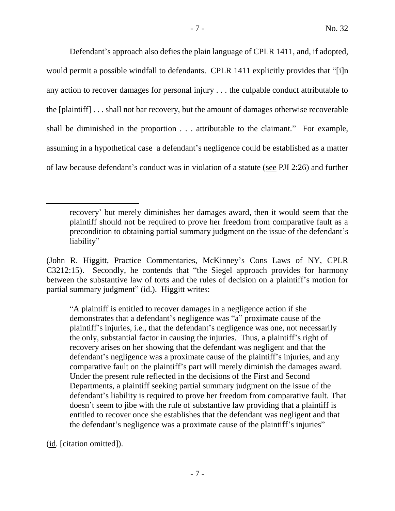Defendant's approach also defies the plain language of CPLR 1411, and, if adopted, would permit a possible windfall to defendants. CPLR 1411 explicitly provides that "[i]n any action to recover damages for personal injury . . . the culpable conduct attributable to the [plaintiff] . . . shall not bar recovery, but the amount of damages otherwise recoverable shall be diminished in the proportion . . . attributable to the claimant." For example, assuming in a hypothetical case a defendant's negligence could be established as a matter of law because defendant's conduct was in violation of a statute (see PJI 2:26) and further

"A plaintiff is entitled to recover damages in a negligence action if she demonstrates that a defendant's negligence was "a" proximate cause of the plaintiff's injuries, i.e., that the defendant's negligence was one, not necessarily the only, substantial factor in causing the injuries. Thus, a plaintiff's right of recovery arises on her showing that the defendant was negligent and that the defendant's negligence was a proximate cause of the plaintiff's injuries, and any comparative fault on the plaintiff's part will merely diminish the damages award. Under the present rule reflected in the decisions of the First and Second Departments, a plaintiff seeking partial summary judgment on the issue of the defendant's liability is required to prove her freedom from comparative fault. That doesn't seem to jibe with the rule of substantive law providing that a plaintiff is entitled to recover once she establishes that the defendant was negligent and that the defendant's negligence was a proximate cause of the plaintiff's injuries"

(id. [citation omitted]).

recovery' but merely diminishes her damages award, then it would seem that the plaintiff should not be required to prove her freedom from comparative fault as a precondition to obtaining partial summary judgment on the issue of the defendant's liability"

<sup>(</sup>John R. Higgitt, Practice Commentaries, McKinney's Cons Laws of NY, CPLR C3212:15). Secondly, he contends that "the Siegel approach provides for harmony between the substantive law of torts and the rules of decision on a plaintiff's motion for partial summary judgment" (id.). Higgitt writes: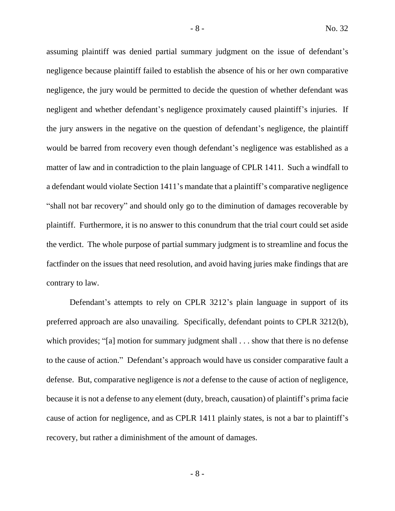assuming plaintiff was denied partial summary judgment on the issue of defendant's negligence because plaintiff failed to establish the absence of his or her own comparative negligence, the jury would be permitted to decide the question of whether defendant was negligent and whether defendant's negligence proximately caused plaintiff's injuries. If the jury answers in the negative on the question of defendant's negligence, the plaintiff would be barred from recovery even though defendant's negligence was established as a matter of law and in contradiction to the plain language of CPLR 1411. Such a windfall to a defendant would violate Section 1411's mandate that a plaintiff's comparative negligence "shall not bar recovery" and should only go to the diminution of damages recoverable by plaintiff. Furthermore, it is no answer to this conundrum that the trial court could set aside the verdict. The whole purpose of partial summary judgment is to streamline and focus the factfinder on the issues that need resolution, and avoid having juries make findings that are contrary to law.

Defendant's attempts to rely on CPLR 3212's plain language in support of its preferred approach are also unavailing. Specifically, defendant points to CPLR 3212(b), which provides; "[a] motion for summary judgment shall . . . show that there is no defense to the cause of action." Defendant's approach would have us consider comparative fault a defense. But, comparative negligence is *not* a defense to the cause of action of negligence, because it is not a defense to any element (duty, breach, causation) of plaintiff's prima facie cause of action for negligence, and as CPLR 1411 plainly states, is not a bar to plaintiff's recovery, but rather a diminishment of the amount of damages.

- 8 -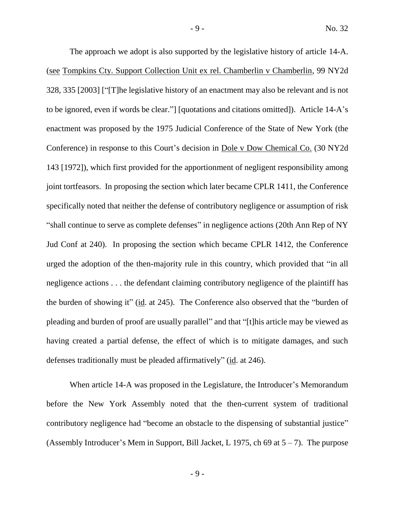The approach we adopt is also supported by the legislative history of article 14-A. (see Tompkins Cty. Support Collection Unit ex rel. Chamberlin v Chamberlin, 99 NY2d 328, 335 [2003] ["[T]he legislative history of an enactment may also be relevant and is not to be ignored, even if words be clear."] [quotations and citations omitted]). Article 14-A's enactment was proposed by the 1975 Judicial Conference of the State of New York (the Conference) in response to this Court's decision in Dole v Dow Chemical Co. (30 NY2d 143 [1972]), which first provided for the apportionment of negligent responsibility among joint tortfeasors. In proposing the section which later became CPLR 1411, the Conference specifically noted that neither the defense of contributory negligence or assumption of risk "shall continue to serve as complete defenses" in negligence actions (20th Ann Rep of NY Jud Conf at 240). In proposing the section which became CPLR 1412, the Conference urged the adoption of the then-majority rule in this country, which provided that "in all negligence actions . . . the defendant claiming contributory negligence of the plaintiff has the burden of showing it" (id. at 245). The Conference also observed that the "burden of pleading and burden of proof are usually parallel" and that "[t]his article may be viewed as having created a partial defense, the effect of which is to mitigate damages, and such defenses traditionally must be pleaded affirmatively" (id. at 246).

When article 14-A was proposed in the Legislature, the Introducer's Memorandum before the New York Assembly noted that the then-current system of traditional contributory negligence had "become an obstacle to the dispensing of substantial justice" (Assembly Introducer's Mem in Support, Bill Jacket, L 1975, ch 69 at  $5 - 7$ ). The purpose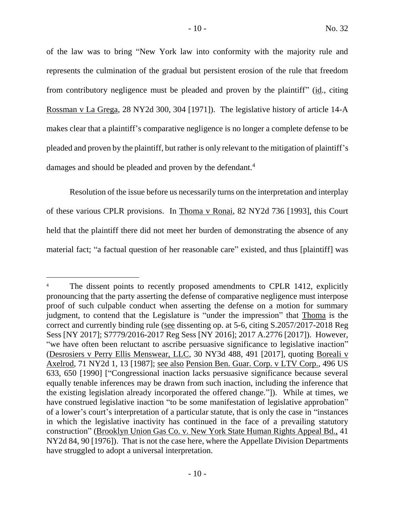of the law was to bring "New York law into conformity with the majority rule and represents the culmination of the gradual but persistent erosion of the rule that freedom from contributory negligence must be pleaded and proven by the plaintiff" (id., citing Rossman v La Grega, 28 NY2d 300, 304 [1971]). The legislative history of article 14-A makes clear that a plaintiff's comparative negligence is no longer a complete defense to be pleaded and proven by the plaintiff, but rather is only relevant to the mitigation of plaintiff's damages and should be pleaded and proven by the defendant.<sup>4</sup>

Resolution of the issue before us necessarily turns on the interpretation and interplay of these various CPLR provisions. In Thoma v Ronai, 82 NY2d 736 [1993], this Court held that the plaintiff there did not meet her burden of demonstrating the absence of any material fact; "a factual question of her reasonable care" existed, and thus [plaintiff] was

<sup>&</sup>lt;sup>4</sup> The dissent points to recently proposed amendments to CPLR 1412, explicitly pronouncing that the party asserting the defense of comparative negligence must interpose proof of such culpable conduct when asserting the defense on a motion for summary judgment, to contend that the Legislature is "under the impression" that Thoma is the correct and currently binding rule (see dissenting op. at 5-6, citing S.2057/2017-2018 Reg Sess [NY 2017]; S7779/2016-2017 Reg Sess [NY 2016]; 2017 A.2776 [2017]). However, "we have often been reluctant to ascribe persuasive significance to legislative inaction" (Desrosiers v Perry Ellis Menswear, LLC, 30 NY3d 488, 491 [2017], quoting Boreali v Axelrod, 71 NY2d 1, 13 [1987]; see also Pension Ben. Guar. Corp. v LTV Corp., 496 US 633, 650 [1990] ["Congressional inaction lacks persuasive significance because several equally tenable inferences may be drawn from such inaction, including the inference that the existing legislation already incorporated the offered change."]). While at times, we have construed legislative inaction "to be some manifestation of legislative approbation" of a lower's court's interpretation of a particular statute, that is only the case in "instances in which the legislative inactivity has continued in the face of a prevailing statutory construction" (Brooklyn Union Gas Co. v. New York State Human Rights Appeal Bd., 41 NY2d 84, 90 [1976]). That is not the case here, where the Appellate Division Departments have struggled to adopt a universal interpretation.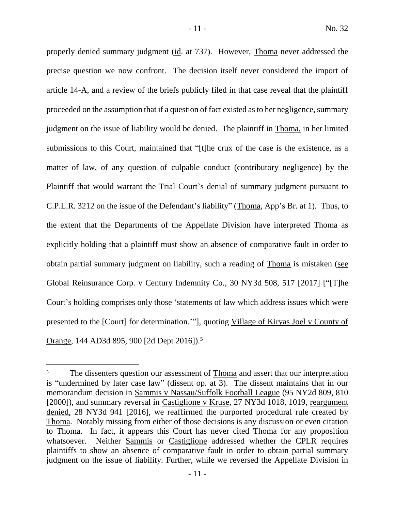properly denied summary judgment (id. at 737). However, Thoma never addressed the precise question we now confront. The decision itself never considered the import of article 14-A, and a review of the briefs publicly filed in that case reveal that the plaintiff proceeded on the assumption that if a question of fact existed as to her negligence, summary judgment on the issue of liability would be denied. The plaintiff in Thoma, in her limited submissions to this Court, maintained that "[t]he crux of the case is the existence, as a matter of law, of any question of culpable conduct (contributory negligence) by the Plaintiff that would warrant the Trial Court's denial of summary judgment pursuant to C.P.L.R. 3212 on the issue of the Defendant's liability" (Thoma, App's Br. at 1). Thus, to the extent that the Departments of the Appellate Division have interpreted Thoma as explicitly holding that a plaintiff must show an absence of comparative fault in order to obtain partial summary judgment on liability, such a reading of Thoma is mistaken (see Global Reinsurance Corp. v Century Indemnity Co., 30 NY3d 508, 517 [2017] ["[T]he Court's holding comprises only those 'statements of law which address issues which were presented to the [Court] for determination.'"], quoting Village of Kiryas Joel v County of Orange, 144 AD3d 895, 900 [2d Dept 2016]).<sup>5</sup>

The dissenters question our assessment of Thoma and assert that our interpretation is "undermined by later case law" (dissent op. at 3). The dissent maintains that in our memorandum decision in Sammis v Nassau/Suffolk Football League (95 NY2d 809, 810 [2000]), and summary reversal in Castiglione v Kruse, 27 NY3d 1018, 1019, reargument denied, 28 NY3d 941 [2016], we reaffirmed the purported procedural rule created by Thoma. Notably missing from either of those decisions is any discussion or even citation to Thoma. In fact, it appears this Court has never cited Thoma for any proposition whatsoever. Neither Sammis or Castiglione addressed whether the CPLR requires plaintiffs to show an absence of comparative fault in order to obtain partial summary judgment on the issue of liability. Further, while we reversed the Appellate Division in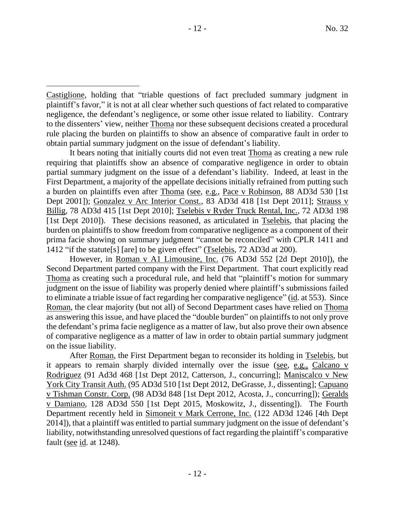$\overline{a}$ 

It bears noting that initially courts did not even treat Thoma as creating a new rule requiring that plaintiffs show an absence of comparative negligence in order to obtain partial summary judgment on the issue of a defendant's liability. Indeed, at least in the First Department, a majority of the appellate decisions initially refrained from putting such a burden on plaintiffs even after Thoma (see, e.g., Pace v Robinson, 88 AD3d 530 [1st Dept 2001]); Gonzalez v Arc Interior Const., 83 AD3d 418 [1st Dept 2011]; Strauss v Billig, 78 AD3d 415 [1st Dept 2010]; Tselebis v Ryder Truck Rental, Inc., 72 AD3d 198 [1st Dept 2010]). These decisions reasoned, as articulated in Tselebis, that placing the burden on plaintiffs to show freedom from comparative negligence as a component of their prima facie showing on summary judgment "cannot be reconciled" with CPLR 1411 and 1412 "if the statute[s] [are] to be given effect" (Tselebis, 72 AD3d at 200).

However, in Roman v A1 Limousine, Inc. (76 AD3d 552 [2d Dept 2010]), the Second Department parted company with the First Department. That court explicitly read Thoma as creating such a procedural rule, and held that "plaintiff's motion for summary judgment on the issue of liability was properly denied where plaintiff's submissions failed to eliminate a triable issue of fact regarding her comparative negligence" (id. at 553). Since Roman, the clear majority (but not all) of Second Department cases have relied on Thoma as answering this issue, and have placed the "double burden" on plaintiffs to not only prove the defendant's prima facie negligence as a matter of law, but also prove their own absence of comparative negligence as a matter of law in order to obtain partial summary judgment on the issue liability.

After Roman, the First Department began to reconsider its holding in Tselebis, but it appears to remain sharply divided internally over the issue (see, e.g., Calcano v Rodriguez (91 Ad3d 468 [1st Dept 2012, Catterson, J., concurring]; Maniscalco v New York City Transit Auth. (95 AD3d 510 [1st Dept 2012, DeGrasse, J., dissenting]; Capuano v Tishman Constr. Corp. (98 AD3d 848 [1st Dept 2012, Acosta, J., concurring]); Geralds v Damiano, 128 AD3d 550 [1st Dept 2015, Moskowitz, J., dissenting]). The Fourth Department recently held in Simoneit v Mark Cerrone, Inc. (122 AD3d 1246 [4th Dept 2014]), that a plaintiff was entitled to partial summary judgment on the issue of defendant's liability, notwithstanding unresolved questions of fact regarding the plaintiff's comparative fault (see  $id$ . at 1248).

Castiglione, holding that "triable questions of fact precluded summary judgment in plaintiff's favor," it is not at all clear whether such questions of fact related to comparative negligence, the defendant's negligence, or some other issue related to liability. Contrary to the dissenters' view, neither Thoma nor these subsequent decisions created a procedural rule placing the burden on plaintiffs to show an absence of comparative fault in order to obtain partial summary judgment on the issue of defendant's liability.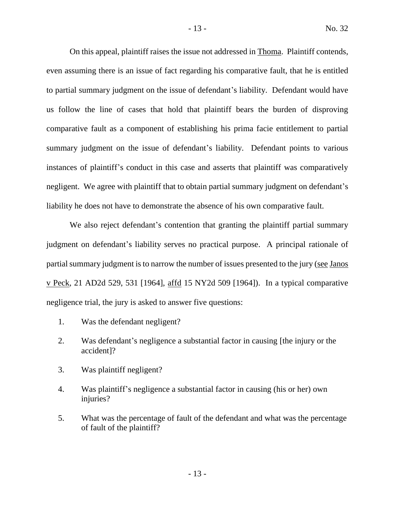On this appeal, plaintiff raises the issue not addressed in Thoma. Plaintiff contends, even assuming there is an issue of fact regarding his comparative fault, that he is entitled to partial summary judgment on the issue of defendant's liability. Defendant would have us follow the line of cases that hold that plaintiff bears the burden of disproving comparative fault as a component of establishing his prima facie entitlement to partial summary judgment on the issue of defendant's liability. Defendant points to various instances of plaintiff's conduct in this case and asserts that plaintiff was comparatively negligent. We agree with plaintiff that to obtain partial summary judgment on defendant's liability he does not have to demonstrate the absence of his own comparative fault.

We also reject defendant's contention that granting the plaintiff partial summary judgment on defendant's liability serves no practical purpose. A principal rationale of partial summary judgment is to narrow the number of issues presented to the jury (see Janos v Peck, 21 AD2d 529, 531 [1964], affd 15 NY2d 509 [1964]). In a typical comparative negligence trial, the jury is asked to answer five questions:

- 1. Was the defendant negligent?
- 2. Was defendant's negligence a substantial factor in causing [the injury or the accident]?
- 3. Was plaintiff negligent?
- 4. Was plaintiff's negligence a substantial factor in causing (his or her) own injuries?
- 5. What was the percentage of fault of the defendant and what was the percentage of fault of the plaintiff?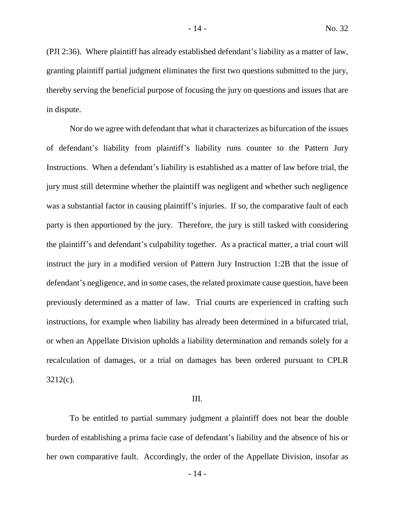(PJI 2:36). Where plaintiff has already established defendant's liability as a matter of law, granting plaintiff partial judgment eliminates the first two questions submitted to the jury, thereby serving the beneficial purpose of focusing the jury on questions and issues that are in dispute.

Nor do we agree with defendant that what it characterizes as bifurcation of the issues of defendant's liability from plaintiff's liability runs counter to the Pattern Jury Instructions. When a defendant's liability is established as a matter of law before trial, the jury must still determine whether the plaintiff was negligent and whether such negligence was a substantial factor in causing plaintiff's injuries. If so, the comparative fault of each party is then apportioned by the jury. Therefore, the jury is still tasked with considering the plaintiff's and defendant's culpability together. As a practical matter, a trial court will instruct the jury in a modified version of Pattern Jury Instruction 1:2B that the issue of defendant's negligence, and in some cases, the related proximate cause question, have been previously determined as a matter of law. Trial courts are experienced in crafting such instructions, for example when liability has already been determined in a bifurcated trial, or when an Appellate Division upholds a liability determination and remands solely for a recalculation of damages, or a trial on damages has been ordered pursuant to CPLR 3212(c).

## III.

To be entitled to partial summary judgment a plaintiff does not bear the double burden of establishing a prima facie case of defendant's liability and the absence of his or her own comparative fault. Accordingly, the order of the Appellate Division, insofar as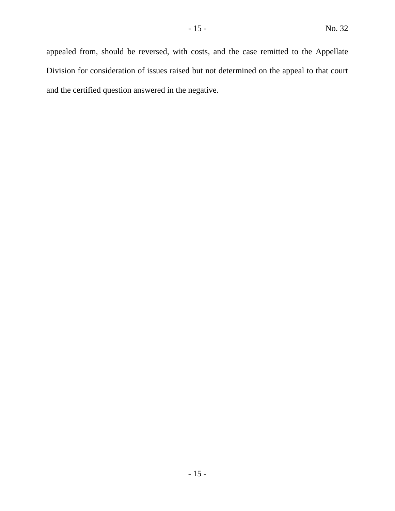appealed from, should be reversed, with costs, and the case remitted to the Appellate Division for consideration of issues raised but not determined on the appeal to that court and the certified question answered in the negative.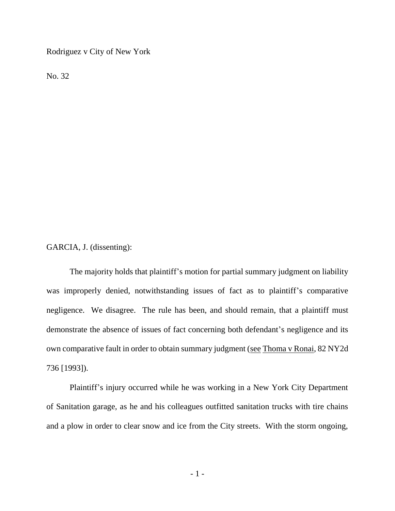Rodriguez v City of New York

No. 32

GARCIA, J. (dissenting):

The majority holds that plaintiff's motion for partial summary judgment on liability was improperly denied, notwithstanding issues of fact as to plaintiff's comparative negligence. We disagree. The rule has been, and should remain, that a plaintiff must demonstrate the absence of issues of fact concerning both defendant's negligence and its own comparative fault in order to obtain summary judgment (see Thoma v Ronai, 82 NY2d 736 [1993]).

Plaintiff's injury occurred while he was working in a New York City Department of Sanitation garage, as he and his colleagues outfitted sanitation trucks with tire chains and a plow in order to clear snow and ice from the City streets. With the storm ongoing,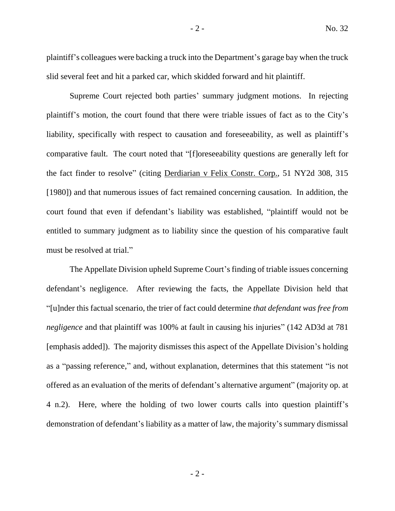plaintiff's colleagues were backing a truck into the Department's garage bay when the truck slid several feet and hit a parked car, which skidded forward and hit plaintiff.

Supreme Court rejected both parties' summary judgment motions. In rejecting plaintiff's motion, the court found that there were triable issues of fact as to the City's liability, specifically with respect to causation and foreseeability, as well as plaintiff's comparative fault. The court noted that "[f]oreseeability questions are generally left for the fact finder to resolve" (citing Derdiarian v Felix Constr. Corp., 51 NY2d 308, 315 [1980]) and that numerous issues of fact remained concerning causation. In addition, the court found that even if defendant's liability was established, "plaintiff would not be entitled to summary judgment as to liability since the question of his comparative fault must be resolved at trial."

The Appellate Division upheld Supreme Court's finding of triable issues concerning defendant's negligence. After reviewing the facts, the Appellate Division held that "[u]nder this factual scenario, the trier of fact could determine *that defendant was free from negligence* and that plaintiff was 100% at fault in causing his injuries" (142 AD3d at 781 [emphasis added]). The majority dismisses this aspect of the Appellate Division's holding as a "passing reference," and, without explanation, determines that this statement "is not offered as an evaluation of the merits of defendant's alternative argument" (majority op. at 4 n.2). Here, where the holding of two lower courts calls into question plaintiff's demonstration of defendant's liability as a matter of law, the majority's summary dismissal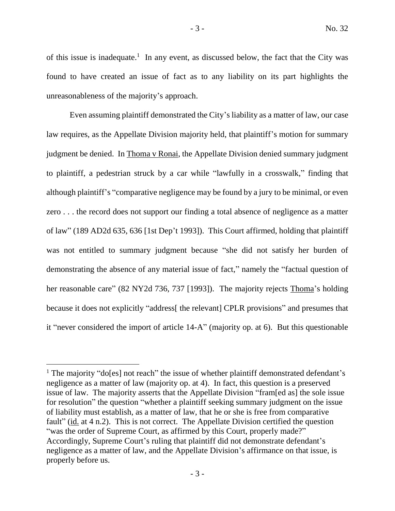of this issue is inadequate.<sup>1</sup> In any event, as discussed below, the fact that the City was found to have created an issue of fact as to any liability on its part highlights the unreasonableness of the majority's approach.

Even assuming plaintiff demonstrated the City's liability as a matter of law, our case law requires, as the Appellate Division majority held, that plaintiff's motion for summary judgment be denied. In Thoma v Ronai, the Appellate Division denied summary judgment to plaintiff, a pedestrian struck by a car while "lawfully in a crosswalk," finding that although plaintiff's "comparative negligence may be found by a jury to be minimal, or even zero . . . the record does not support our finding a total absence of negligence as a matter of law" (189 AD2d 635, 636 [1st Dep't 1993]). This Court affirmed, holding that plaintiff was not entitled to summary judgment because "she did not satisfy her burden of demonstrating the absence of any material issue of fact," namely the "factual question of her reasonable care" (82 NY2d 736, 737 [1993]). The majority rejects Thoma's holding because it does not explicitly "address<sup>[the relevant]</sup> CPLR provisions" and presumes that it "never considered the import of article 14-A" (majority op. at 6). But this questionable

<sup>&</sup>lt;sup>1</sup> The majority "do[es] not reach" the issue of whether plaintiff demonstrated defendant's negligence as a matter of law (majority op. at 4). In fact, this question is a preserved issue of law. The majority asserts that the Appellate Division "fram[ed as] the sole issue for resolution" the question "whether a plaintiff seeking summary judgment on the issue of liability must establish, as a matter of law, that he or she is free from comparative fault" (id. at 4 n.2). This is not correct. The Appellate Division certified the question "was the order of Supreme Court, as affirmed by this Court, properly made?" Accordingly, Supreme Court's ruling that plaintiff did not demonstrate defendant's negligence as a matter of law, and the Appellate Division's affirmance on that issue, is properly before us.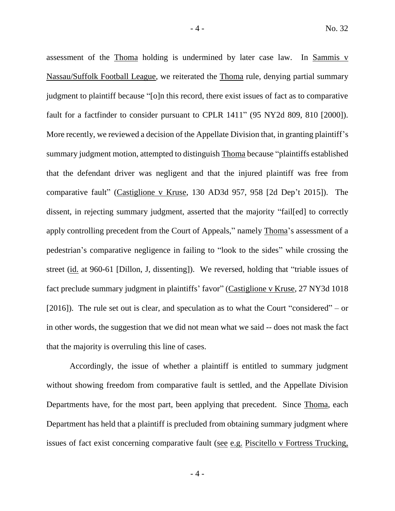assessment of the Thoma holding is undermined by later case law. In Sammis v Nassau/Suffolk Football League, we reiterated the Thoma rule, denying partial summary judgment to plaintiff because "[o]n this record, there exist issues of fact as to comparative fault for a factfinder to consider pursuant to CPLR 1411" (95 NY2d 809, 810 [2000]). More recently, we reviewed a decision of the Appellate Division that, in granting plaintiff's summary judgment motion, attempted to distinguish Thoma because "plaintiffs established that the defendant driver was negligent and that the injured plaintiff was free from comparative fault" (Castiglione v Kruse, 130 AD3d 957, 958 [2d Dep't 2015]). The dissent, in rejecting summary judgment, asserted that the majority "fail[ed] to correctly apply controlling precedent from the Court of Appeals," namely Thoma's assessment of a pedestrian's comparative negligence in failing to "look to the sides" while crossing the street (id. at 960-61 [Dillon, J, dissenting]). We reversed, holding that "triable issues of fact preclude summary judgment in plaintiffs' favor" (Castiglione v Kruse, 27 NY3d 1018 [2016]). The rule set out is clear, and speculation as to what the Court "considered" – or in other words, the suggestion that we did not mean what we said -- does not mask the fact that the majority is overruling this line of cases.

Accordingly, the issue of whether a plaintiff is entitled to summary judgment without showing freedom from comparative fault is settled, and the Appellate Division Departments have, for the most part, been applying that precedent. Since Thoma, each Department has held that a plaintiff is precluded from obtaining summary judgment where issues of fact exist concerning comparative fault (see e.g. Piscitello v Fortress Trucking,

- 4 -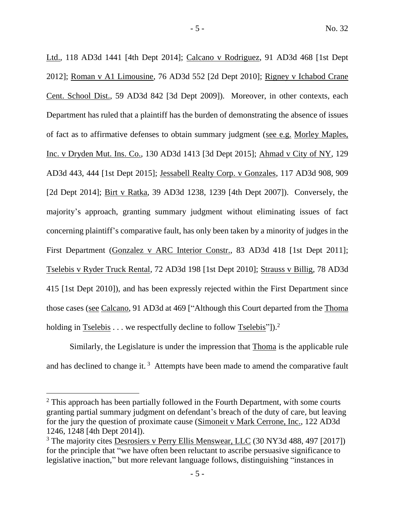Ltd., 118 AD3d 1441 [4th Dept 2014]; Calcano v Rodriguez, 91 AD3d 468 [1st Dept 2012]; Roman v A1 Limousine, 76 AD3d 552 [2d Dept 2010]; Rigney v Ichabod Crane Cent. School Dist., 59 AD3d 842 [3d Dept 2009]). Moreover, in other contexts, each Department has ruled that a plaintiff has the burden of demonstrating the absence of issues of fact as to affirmative defenses to obtain summary judgment (see e.g. Morley Maples, Inc. v Dryden Mut. Ins. Co., 130 AD3d 1413 [3d Dept 2015]; Ahmad v City of NY, 129 AD3d 443, 444 [1st Dept 2015]; Jessabell Realty Corp. v Gonzales, 117 AD3d 908, 909 [2d Dept 2014]; Birt v Ratka, 39 AD3d 1238, 1239 [4th Dept 2007]). Conversely, the majority's approach, granting summary judgment without eliminating issues of fact concerning plaintiff's comparative fault, has only been taken by a minority of judges in the First Department (Gonzalez v ARC Interior Constr., 83 AD3d 418 [1st Dept 2011]; Tselebis v Ryder Truck Rental, 72 AD3d 198 [1st Dept 2010]; Strauss v Billig, 78 AD3d 415 [1st Dept 2010]), and has been expressly rejected within the First Department since those cases (see Calcano, 91 AD3d at 469 ["Although this Court departed from the Thoma holding in  $Tselebis \ldots$  we respectfully decline to follow  $Tselebis$ <sup>"</sup>]).<sup>2</sup>

Similarly, the Legislature is under the impression that Thoma is the applicable rule and has declined to change it.<sup>3</sup> Attempts have been made to amend the comparative fault

 $2$  This approach has been partially followed in the Fourth Department, with some courts granting partial summary judgment on defendant's breach of the duty of care, but leaving for the jury the question of proximate cause (Simoneit v Mark Cerrone, Inc., 122 AD3d 1246, 1248 [4th Dept 2014]).

<sup>3</sup> The majority cites Desrosiers v Perry Ellis Menswear, LLC (30 NY3d 488, 497 [2017]) for the principle that "we have often been reluctant to ascribe persuasive significance to legislative inaction," but more relevant language follows, distinguishing "instances in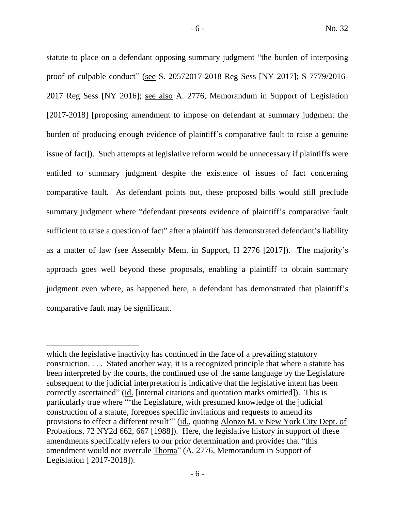statute to place on a defendant opposing summary judgment "the burden of interposing proof of culpable conduct" (see S. 20572017-2018 Reg Sess [NY 2017]; S 7779/2016- 2017 Reg Sess [NY 2016]; see also A. 2776, Memorandum in Support of Legislation [2017-2018] [proposing amendment to impose on defendant at summary judgment the burden of producing enough evidence of plaintiff's comparative fault to raise a genuine issue of fact]). Such attempts at legislative reform would be unnecessary if plaintiffs were entitled to summary judgment despite the existence of issues of fact concerning comparative fault. As defendant points out, these proposed bills would still preclude summary judgment where "defendant presents evidence of plaintiff's comparative fault sufficient to raise a question of fact" after a plaintiff has demonstrated defendant's liability as a matter of law (see Assembly Mem. in Support, H 2776 [2017]). The majority's approach goes well beyond these proposals, enabling a plaintiff to obtain summary judgment even where, as happened here, a defendant has demonstrated that plaintiff's comparative fault may be significant.

which the legislative inactivity has continued in the face of a prevailing statutory construction. . . . Stated another way, it is a recognized principle that where a statute has been interpreted by the courts, the continued use of the same language by the Legislature subsequent to the judicial interpretation is indicative that the legislative intent has been correctly ascertained" (id. [internal citations and quotation marks omitted]). This is particularly true where "'the Legislature, with presumed knowledge of the judicial construction of a statute, foregoes specific invitations and requests to amend its provisions to effect a different result" (id., quoting Alonzo M. v New York City Dept. of Probations, 72 NY2d 662, 667 [1988]). Here, the legislative history in support of these amendments specifically refers to our prior determination and provides that "this amendment would not overrule Thoma" (A. 2776, Memorandum in Support of Legislation [ 2017-2018]).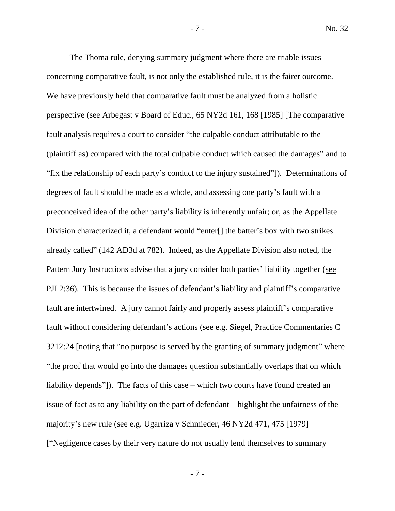The Thoma rule, denying summary judgment where there are triable issues concerning comparative fault, is not only the established rule, it is the fairer outcome. We have previously held that comparative fault must be analyzed from a holistic perspective (see Arbegast v Board of Educ., 65 NY2d 161, 168 [1985] [The comparative fault analysis requires a court to consider "the culpable conduct attributable to the (plaintiff as) compared with the total culpable conduct which caused the damages" and to "fix the relationship of each party's conduct to the injury sustained"]). Determinations of degrees of fault should be made as a whole, and assessing one party's fault with a preconceived idea of the other party's liability is inherently unfair; or, as the Appellate Division characterized it, a defendant would "enter[] the batter's box with two strikes already called" (142 AD3d at 782). Indeed, as the Appellate Division also noted, the Pattern Jury Instructions advise that a jury consider both parties' liability together (see PJI 2:36). This is because the issues of defendant's liability and plaintiff's comparative fault are intertwined. A jury cannot fairly and properly assess plaintiff's comparative fault without considering defendant's actions (see e.g. Siegel, Practice Commentaries C 3212:24 [noting that "no purpose is served by the granting of summary judgment" where "the proof that would go into the damages question substantially overlaps that on which liability depends"]). The facts of this case – which two courts have found created an issue of fact as to any liability on the part of defendant – highlight the unfairness of the majority's new rule (see e.g. Ugarriza v Schmieder, 46 NY2d 471, 475 [1979] ["Negligence cases by their very nature do not usually lend themselves to summary

- 7 -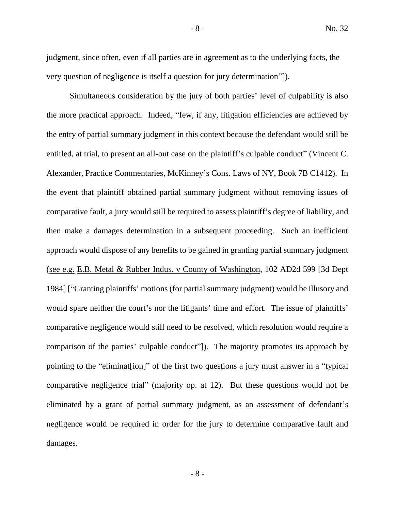judgment, since often, even if all parties are in agreement as to the underlying facts, the very question of negligence is itself a question for jury determination"]).

Simultaneous consideration by the jury of both parties' level of culpability is also the more practical approach. Indeed, "few, if any, litigation efficiencies are achieved by the entry of partial summary judgment in this context because the defendant would still be entitled, at trial, to present an all-out case on the plaintiff's culpable conduct" (Vincent C. Alexander, Practice Commentaries, McKinney's Cons. Laws of NY, Book 7B C1412). In the event that plaintiff obtained partial summary judgment without removing issues of comparative fault, a jury would still be required to assess plaintiff's degree of liability, and then make a damages determination in a subsequent proceeding. Such an inefficient approach would dispose of any benefits to be gained in granting partial summary judgment (see e.g. E.B. Metal & Rubber Indus. v County of Washington, 102 AD2d 599 [3d Dept 1984] ["Granting plaintiffs' motions (for partial summary judgment) would be illusory and would spare neither the court's nor the litigants' time and effort. The issue of plaintiffs' comparative negligence would still need to be resolved, which resolution would require a comparison of the parties' culpable conduct"]). The majority promotes its approach by pointing to the "eliminat[ion]" of the first two questions a jury must answer in a "typical comparative negligence trial" (majority op. at 12). But these questions would not be eliminated by a grant of partial summary judgment, as an assessment of defendant's negligence would be required in order for the jury to determine comparative fault and damages.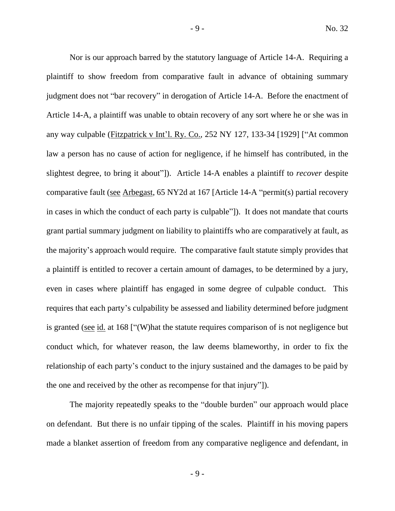Nor is our approach barred by the statutory language of Article 14-A. Requiring a plaintiff to show freedom from comparative fault in advance of obtaining summary judgment does not "bar recovery" in derogation of Article 14-A. Before the enactment of Article 14-A, a plaintiff was unable to obtain recovery of any sort where he or she was in any way culpable (Fitzpatrick v Int'l. Ry. Co., 252 NY 127, 133-34 [1929] ["At common law a person has no cause of action for negligence, if he himself has contributed, in the slightest degree, to bring it about"]). Article 14-A enables a plaintiff to *recover* despite comparative fault (see Arbegast, 65 NY2d at 167 [Article 14-A "permit(s) partial recovery in cases in which the conduct of each party is culpable"]). It does not mandate that courts grant partial summary judgment on liability to plaintiffs who are comparatively at fault, as the majority's approach would require. The comparative fault statute simply provides that a plaintiff is entitled to recover a certain amount of damages, to be determined by a jury, even in cases where plaintiff has engaged in some degree of culpable conduct. This requires that each party's culpability be assessed and liability determined before judgment is granted (see id. at 168 ["(W)hat the statute requires comparison of is not negligence but conduct which, for whatever reason, the law deems blameworthy, in order to fix the relationship of each party's conduct to the injury sustained and the damages to be paid by the one and received by the other as recompense for that injury"]).

The majority repeatedly speaks to the "double burden" our approach would place on defendant. But there is no unfair tipping of the scales. Plaintiff in his moving papers made a blanket assertion of freedom from any comparative negligence and defendant, in